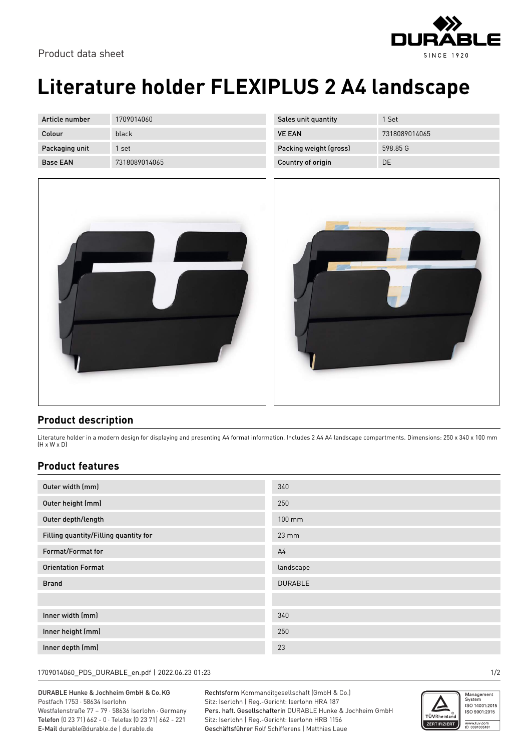

## **Literature holder FLEXIPLUS 2 A4 landscape**

| Article number  | 1709014060    |
|-----------------|---------------|
| Colour          | black         |
| Packaging unit  | 1 set         |
| <b>Base FAN</b> | 7318089014065 |



| Sales unit quantity    | 1 Set         |
|------------------------|---------------|
| <b>VE FAN</b>          | 7318089014065 |
| Packing weight (gross) | 598 85 G      |
| Country of origin      | DΕ            |



## **Product description**

Literature holder in a modern design for displaying and presenting A4 format information. Includes 2 A4 A4 landscape compartments. Dimensions: 250 x 340 x 100 mm (H x W x D)

## **Product features**

| Outer width (mm)                      | 340             |
|---------------------------------------|-----------------|
| Outer height (mm)                     | 250             |
| Outer depth/length                    | 100 mm          |
| Filling quantity/Filling quantity for | $23 \text{ mm}$ |
| Format/Format for                     | A <sub>4</sub>  |
| <b>Orientation Format</b>             | landscape       |
| <b>Brand</b>                          | <b>DURABLE</b>  |
|                                       |                 |
| Inner width (mm)                      | 340             |
| Inner height (mm)                     | 250             |
| Inner depth (mm)                      | 23              |

1709014060\_PDS\_DURABLE\_en.pdf | 2022.06.23 01:23 1/2

DURABLE Hunke & Jochheim GmbH & Co.KG Postfach 1753 · 58634 Iserlohn Westfalenstraße 77 – 79 · 58636 Iserlohn · Germany Telefon (0 23 71) 662 - 0 · Telefax (0 23 71) 662 - 221 E-Mail durable@durable.de | durable.de

Rechtsform Kommanditgesellschaft (GmbH & Co.) Sitz: Iserlohn | Reg.-Gericht: Iserlohn HRA 187 Pers. haft. Gesellschafterin DURABLE Hunke & Jochheim GmbH Sitz: Iserlohn | Reg.-Gericht: Iserlohn HRB 1156 Geschäftsführer Rolf Schifferens | Matthias Laue